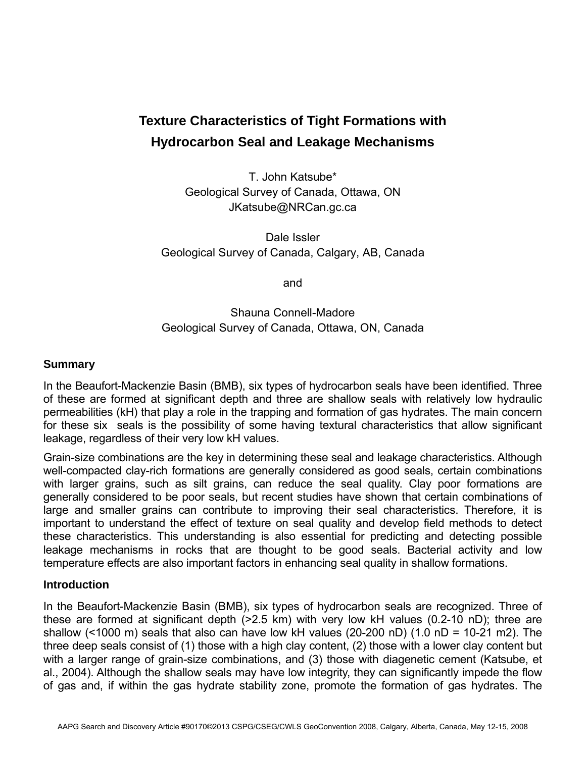# **Texture Characteristics of Tight Formations with Hydrocarbon Seal and Leakage Mechanisms**

T. John Katsube\* Geological Survey of Canada, Ottawa, ON JKatsube@NRCan.gc.ca

Dale Issler Geological Survey of Canada, Calgary, AB, Canada

and

## Shauna Connell-Madore Geological Survey of Canada, Ottawa, ON, Canada

## **Summary**

In the Beaufort-Mackenzie Basin (BMB), six types of hydrocarbon seals have been identified. Three of these are formed at significant depth and three are shallow seals with relatively low hydraulic permeabilities (kH) that play a role in the trapping and formation of gas hydrates. The main concern for these six seals is the possibility of some having textural characteristics that allow significant leakage, regardless of their very low kH values.

Grain-size combinations are the key in determining these seal and leakage characteristics. Although well-compacted clay-rich formations are generally considered as good seals, certain combinations with larger grains, such as silt grains, can reduce the seal quality. Clay poor formations are generally considered to be poor seals, but recent studies have shown that certain combinations of large and smaller grains can contribute to improving their seal characteristics. Therefore, it is important to understand the effect of texture on seal quality and develop field methods to detect these characteristics. This understanding is also essential for predicting and detecting possible leakage mechanisms in rocks that are thought to be good seals. Bacterial activity and low temperature effects are also important factors in enhancing seal quality in shallow formations.

#### **Introduction**

In the Beaufort-Mackenzie Basin (BMB), six types of hydrocarbon seals are recognized. Three of these are formed at significant depth (>2.5 km) with very low kH values (0.2-10 nD); three are shallow (<1000 m) seals that also can have low kH values (20-200 nD) (1.0 nD = 10-21 m2). The three deep seals consist of (1) those with a high clay content, (2) those with a lower clay content but with a larger range of grain-size combinations, and (3) those with diagenetic cement (Katsube, et al., 2004). Although the shallow seals may have low integrity, they can significantly impede the flow of gas and, if within the gas hydrate stability zone, promote the formation of gas hydrates. The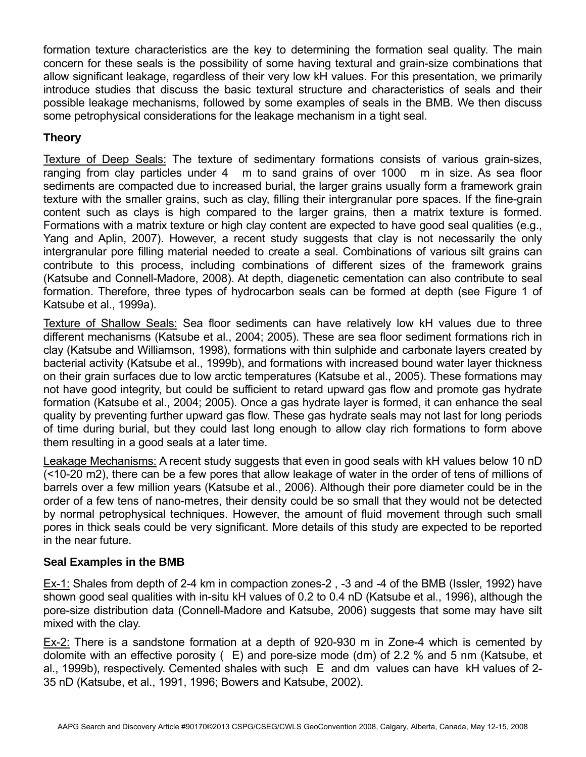formation texture characteristics are the key to determining the formation seal quality. The main concern for these seals is the possibility of some having textural and grain-size combinations that allow significant leakage, regardless of their very low kH values. For this presentation, we primarily introduce studies that discuss the basic textural structure and characteristics of seals and their possible leakage mechanisms, followed by some examples of seals in the BMB. We then discuss some petrophysical considerations for the leakage mechanism in a tight seal.

## **Theory**

Texture of Deep Seals: The texture of sedimentary formations consists of various grain-sizes, ranging from clay particles under 4 m to sand grains of over 1000 m in size. As sea floor sediments are compacted due to increased burial, the larger grains usually form a framework grain texture with the smaller grains, such as clay, filling their intergranular pore spaces. If the fine-grain content such as clays is high compared to the larger grains, then a matrix texture is formed. Formations with a matrix texture or high clay content are expected to have good seal qualities (e.g., Yang and Aplin, 2007). However, a recent study suggests that clay is not necessarily the only intergranular pore filling material needed to create a seal. Combinations of various silt grains can contribute to this process, including combinations of different sizes of the framework grains (Katsube and Connell-Madore, 2008). At depth, diagenetic cementation can also contribute to seal formation. Therefore, three types of hydrocarbon seals can be formed at depth (see Figure 1 of Katsube et al., 1999a).

Texture of Shallow Seals: Sea floor sediments can have relatively low kH values due to three different mechanisms (Katsube et al., 2004; 2005). These are sea floor sediment formations rich in clay (Katsube and Williamson, 1998), formations with thin sulphide and carbonate layers created by bacterial activity (Katsube et al., 1999b), and formations with increased bound water layer thickness on their grain surfaces due to low arctic temperatures (Katsube et al., 2005). These formations may not have good integrity, but could be sufficient to retard upward gas flow and promote gas hydrate formation (Katsube et al., 2004; 2005). Once a gas hydrate layer is formed, it can enhance the seal quality by preventing further upward gas flow. These gas hydrate seals may not last for long periods of time during burial, but they could last long enough to allow clay rich formations to form above them resulting in a good seals at a later time.

Leakage Mechanisms: A recent study suggests that even in good seals with kH values below 10 nD (<10-20 m2), there can be a few pores that allow leakage of water in the order of tens of millions of barrels over a few million years (Katsube et al., 2006). Although their pore diameter could be in the order of a few tens of nano-metres, their density could be so small that they would not be detected by normal petrophysical techniques. However, the amount of fluid movement through such small pores in thick seals could be very significant. More details of this study are expected to be reported in the near future.

## **Seal Examples in the BMB**

Ex-1: Shales from depth of 2-4 km in compaction zones-2 , -3 and -4 of the BMB (Issler, 1992) have shown good seal qualities with in-situ kH values of 0.2 to 0.4 nD (Katsube et al., 1996), although the pore-size distribution data (Connell-Madore and Katsube, 2006) suggests that some may have silt mixed with the clay.

Ex-2: There is a sandstone formation at a depth of 920-930 m in Zone-4 which is cemented by dolomite with an effective porosity ( E) and pore-size mode (dm) of 2.2 % and 5 nm (Katsube, et al., 1999b), respectively. Cemented shales with such  $E$  and dm values can have kH values of 2-35 nD (Katsube, et al., 1991, 1996; Bowers and Katsube, 2002).